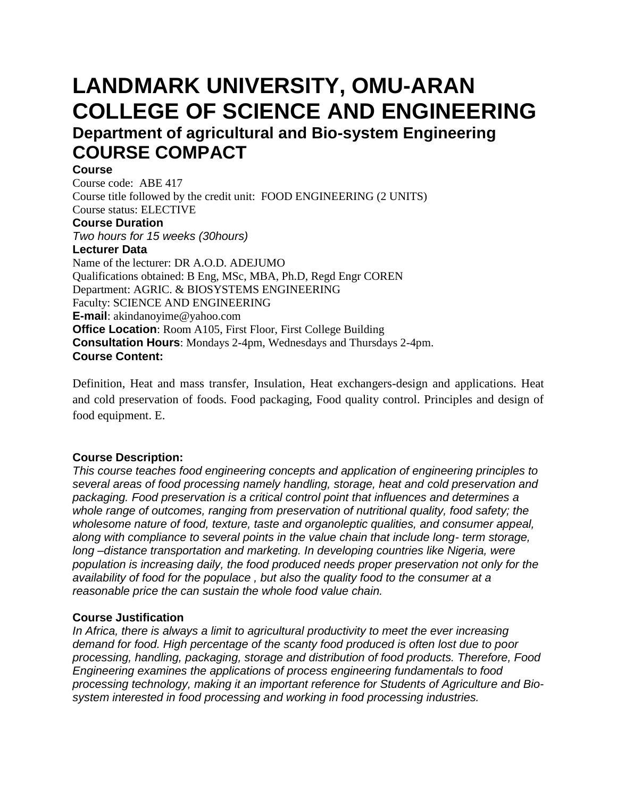# **LANDMARK UNIVERSITY, OMU-ARAN COLLEGE OF SCIENCE AND ENGINEERING Department of agricultural and Bio-system Engineering COURSE COMPACT**

#### **Course**

Course code: ABE 417 Course title followed by the credit unit: FOOD ENGINEERING (2 UNITS) Course status: ELECTIVE

# **Course Duration**

*Two hours for 15 weeks (30hours)*

#### **Lecturer Data**

Name of the lecturer: DR A.O.D. ADEJUMO Qualifications obtained: B Eng, MSc, MBA, Ph.D, Regd Engr COREN Department: AGRIC. & BIOSYSTEMS ENGINEERING Faculty: SCIENCE AND ENGINEERING **E-mail**: akindanoyime@yahoo.com **Office Location:** Room A105, First Floor, First College Building **Consultation Hours**: Mondays 2-4pm, Wednesdays and Thursdays 2-4pm. **Course Content:**

Definition, Heat and mass transfer, Insulation, Heat exchangers-design and applications. Heat and cold preservation of foods. Food packaging, Food quality control. Principles and design of food equipment. E.

#### **Course Description:**

*This course teaches food engineering concepts and application of engineering principles to several areas of food processing namely handling, storage, heat and cold preservation and packaging. Food preservation is a critical control point that influences and determines a whole range of outcomes, ranging from preservation of nutritional quality, food safety; the wholesome nature of food, texture, taste and organoleptic qualities, and consumer appeal, along with compliance to several points in the value chain that include long- term storage, long –distance transportation and marketing. In developing countries like Nigeria, were population is increasing daily, the food produced needs proper preservation not only for the availability of food for the populace , but also the quality food to the consumer at a reasonable price the can sustain the whole food value chain.* 

#### **Course Justification**

*In Africa, there is always a limit to agricultural productivity to meet the ever increasing demand for food. High percentage of the scanty food produced is often lost due to poor processing, handling, packaging, storage and distribution of food products. Therefore, Food Engineering examines the applications of process engineering fundamentals to food processing technology, making it an important reference for Students of Agriculture and Biosystem interested in food processing and working in food processing industries.*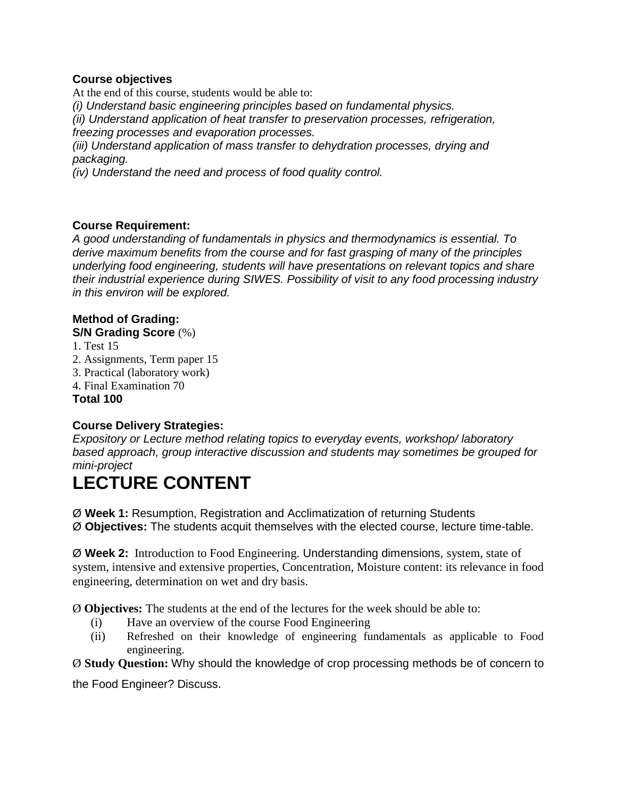#### **Course objectives**

At the end of this course, students would be able to: *(i) Understand basic engineering principles based on fundamental physics. (ii) Understand application of heat transfer to preservation processes, refrigeration, freezing processes and evaporation processes. (iii) Understand application of mass transfer to dehydration processes, drying and packaging. (iv) Understand the need and process of food quality control.*

#### **Course Requirement:**

*A good understanding of fundamentals in physics and thermodynamics is essential. To derive maximum benefits from the course and for fast grasping of many of the principles underlying food engineering, students will have presentations on relevant topics and share their industrial experience during SIWES. Possibility of visit to any food processing industry in this environ will be explored.* 

# **Method of Grading:**

**S/N Grading Score** (%)

1. Test 15 2. Assignments, Term paper 15 3. Practical (laboratory work) 4. Final Examination 70 **Total 100**

### **Course Delivery Strategies:**

*Expository or Lecture method relating topics to everyday events, workshop/ laboratory based approach, group interactive discussion and students may sometimes be grouped for mini-project*

# **LECTURE CONTENT**

Ø **Week 1:** Resumption, Registration and Acclimatization of returning Students Ø **Objectives:** The students acquit themselves with the elected course, lecture time-table.

Ø **Week 2:** Introduction to Food Engineering. Understanding dimensions, system, state of system, intensive and extensive properties, Concentration, Moisture content: its relevance in food engineering, determination on wet and dry basis.

Ø **Objectives:** The students at the end of the lectures for the week should be able to:

- (i) Have an overview of the course Food Engineering
- (ii) Refreshed on their knowledge of engineering fundamentals as applicable to Food engineering.

Ø **Study Question:** Why should the knowledge of crop processing methods be of concern to

the Food Engineer? Discuss.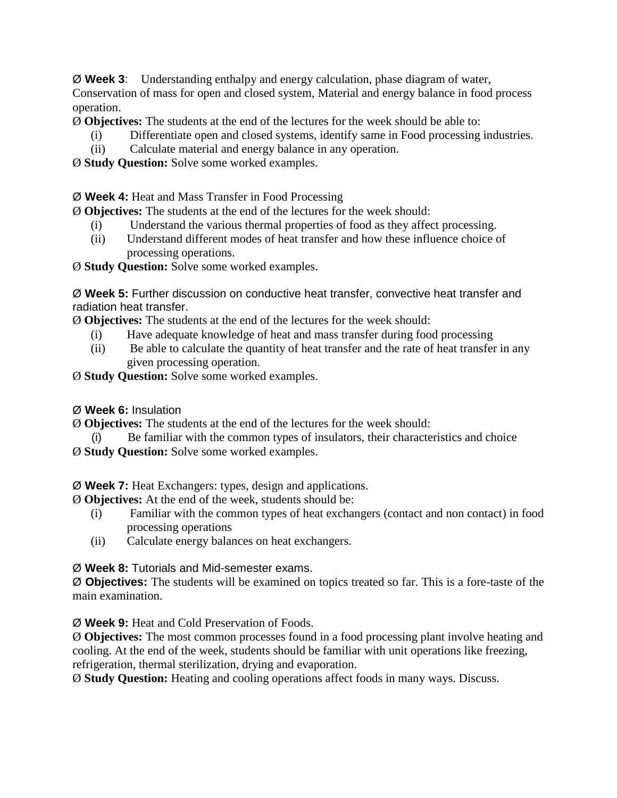Ø **Week 3**: Understanding enthalpy and energy calculation, phase diagram of water, Conservation of mass for open and closed system, Material and energy balance in food process operation.

Ø **Objectives:** The students at the end of the lectures for the week should be able to:

- (i) Differentiate open and closed systems, identify same in Food processing industries.
- (ii) Calculate material and energy balance in any operation.

Ø **Study Question:** Solve some worked examples.

Ø **Week 4:** Heat and Mass Transfer in Food Processing

Ø **Objectives:** The students at the end of the lectures for the week should:

- (i) Understand the various thermal properties of food as they affect processing.
- (ii) Understand different modes of heat transfer and how these influence choice of processing operations.

Ø **Study Question:** Solve some worked examples.

Ø **Week 5:** Further discussion on conductive heat transfer, convective heat transfer and radiation heat transfer.

Ø **Objectives:** The students at the end of the lectures for the week should:

- (i) Have adequate knowledge of heat and mass transfer during food processing
- (ii) Be able to calculate the quantity of heat transfer and the rate of heat transfer in any given processing operation.

Ø **Study Question:** Solve some worked examples.

Ø **Week 6:** Insulation

Ø **Objectives:** The students at the end of the lectures for the week should:

Be familiar with the common types of insulators, their characteristics and choice

Ø **Study Question:** Solve some worked examples.

Ø **Week 7:** Heat Exchangers: types, design and applications.

Ø **Objectives:** At the end of the week, students should be:

- (i) Familiar with the common types of heat exchangers (contact and non contact) in food processing operations
- (ii) Calculate energy balances on heat exchangers.

Ø **Week 8:** Tutorials and Mid-semester exams.

Ø **Objectives:** The students will be examined on topics treated so far. This is a fore-taste of the main examination.

Ø **Week 9:** Heat and Cold Preservation of Foods.

Ø **Objectives:** The most common processes found in a food processing plant involve heating and cooling. At the end of the week, students should be familiar with unit operations like freezing, refrigeration, thermal sterilization, drying and evaporation.

Ø **Study Question:** Heating and cooling operations affect foods in many ways. Discuss.